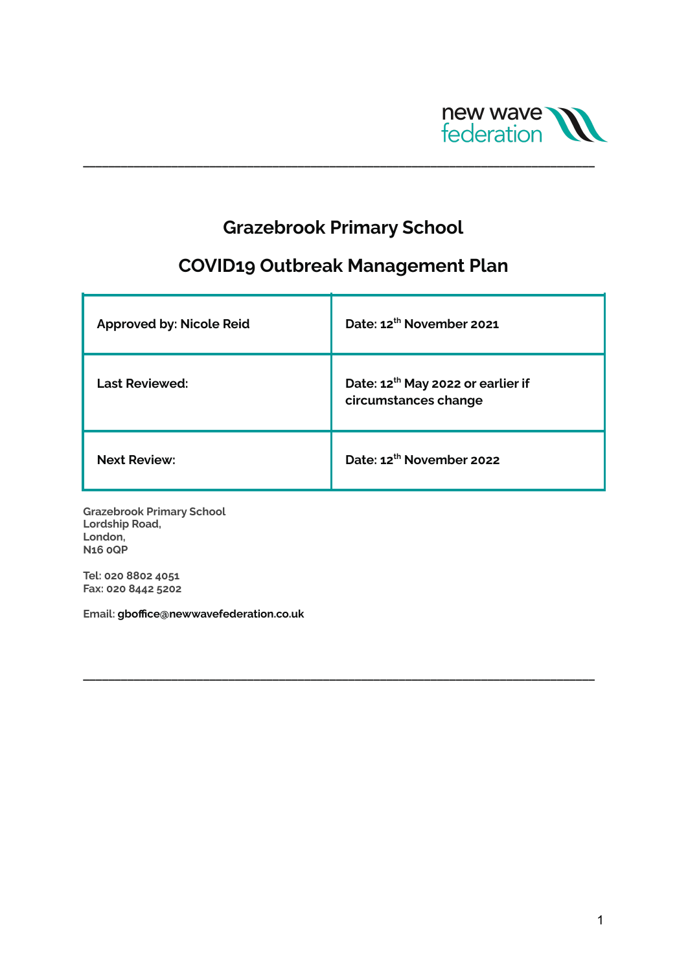

## **Grazebrook Primary School**

**\_\_\_\_\_\_\_\_\_\_\_\_\_\_\_\_\_\_\_\_\_\_\_\_\_\_\_\_\_\_\_\_\_\_\_\_\_\_\_\_\_\_\_\_\_\_\_\_\_\_\_\_\_\_\_\_\_\_\_\_\_\_\_\_\_\_\_\_\_\_\_\_\_\_\_\_\_\_\_\_\_**

# **COVID19 Outbreak Management Plan**

| <b>Approved by: Nicole Reid</b> | Date: 12th November 2021                                              |
|---------------------------------|-----------------------------------------------------------------------|
| <b>Last Reviewed:</b>           | Date: 12 <sup>th</sup> May 2022 or earlier if<br>circumstances change |
| <b>Next Review:</b>             | Date: 12th November 2022                                              |

**\_\_\_\_\_\_\_\_\_\_\_\_\_\_\_\_\_\_\_\_\_\_\_\_\_\_\_\_\_\_\_\_\_\_\_\_\_\_\_\_\_\_\_\_\_\_\_\_\_\_\_\_\_\_\_\_\_\_\_\_\_\_\_\_\_\_\_\_\_\_\_\_\_\_\_\_\_\_\_\_\_**

**Grazebrook Primary School Lordship Road, London, N16 0QP**

**Tel: 020 8802 4051 Fax: 020 8442 5202**

**Email: gboffice@newwavefederation.co.uk**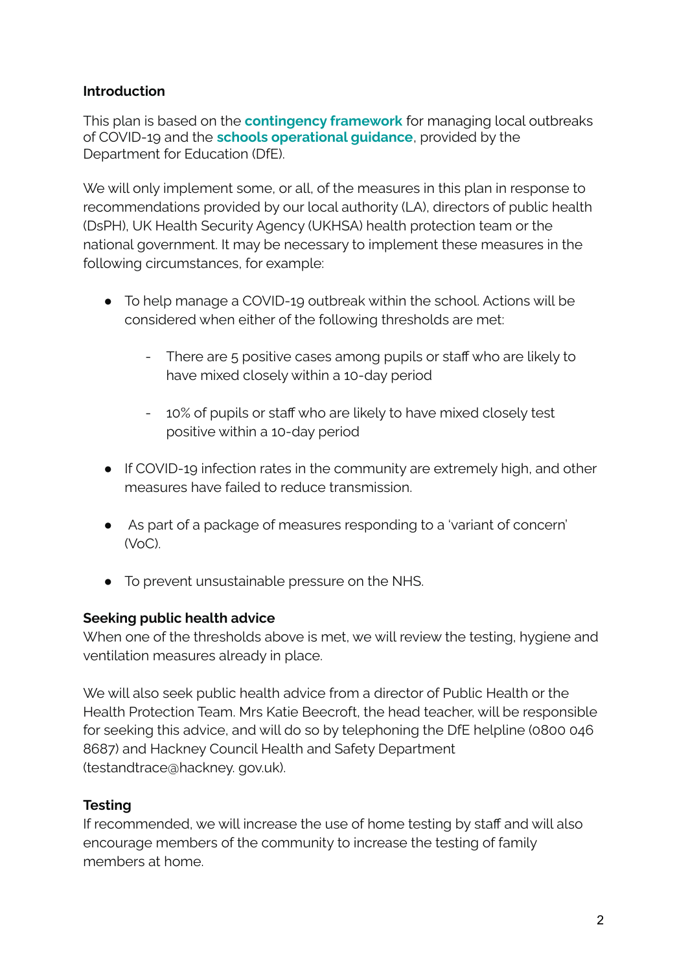#### **Introduction**

This plan is based on the **[contingency](https://www.gov.uk/government/publications/coronavirus-covid-19-local-restrictions-in-education-and-childcare-settings) framework** for managing local outbreaks of COVID-19 and the **schools [operational](https://www.gov.uk/government/publications/actions-for-schools-during-the-coronavirus-outbreak) guidance**, provided by the Department for Education (DfE).

We will only implement some, or all, of the measures in this plan in response to recommendations provided by our local authority (LA), directors of public health (DsPH), UK Health Security Agency (UKHSA) health protection team or the national government. It may be necessary to implement these measures in the following circumstances, for example:

- To help manage a COVID-19 outbreak within the school. Actions will be considered when either of the following thresholds are met:
	- There are 5 positive cases among pupils or staff who are likely to have mixed closely within a 10-day period
	- 10% of pupils or staff who are likely to have mixed closely test positive within a 10-day period
- If COVID-19 infection rates in the community are extremely high, and other measures have failed to reduce transmission.
- As part of a package of measures responding to a 'variant of concern'  $(\forall o \cap)$
- To prevent unsustainable pressure on the NHS.

## **Seeking public health advice**

When one of the thresholds above is met, we will review the testing, hygiene and ventilation measures already in place.

We will also seek public health advice from a director of Public Health or the Health Protection Team. Mrs Katie Beecroft, the head teacher, will be responsible for seeking this advice, and will do so by telephoning the DfE helpline (0800 046 8687) and Hackney Council Health and Safety Department (testandtrace@hackney. gov.uk).

## **Testing**

If recommended, we will increase the use of home testing by staff and will also encourage members of the community to increase the testing of family members at home.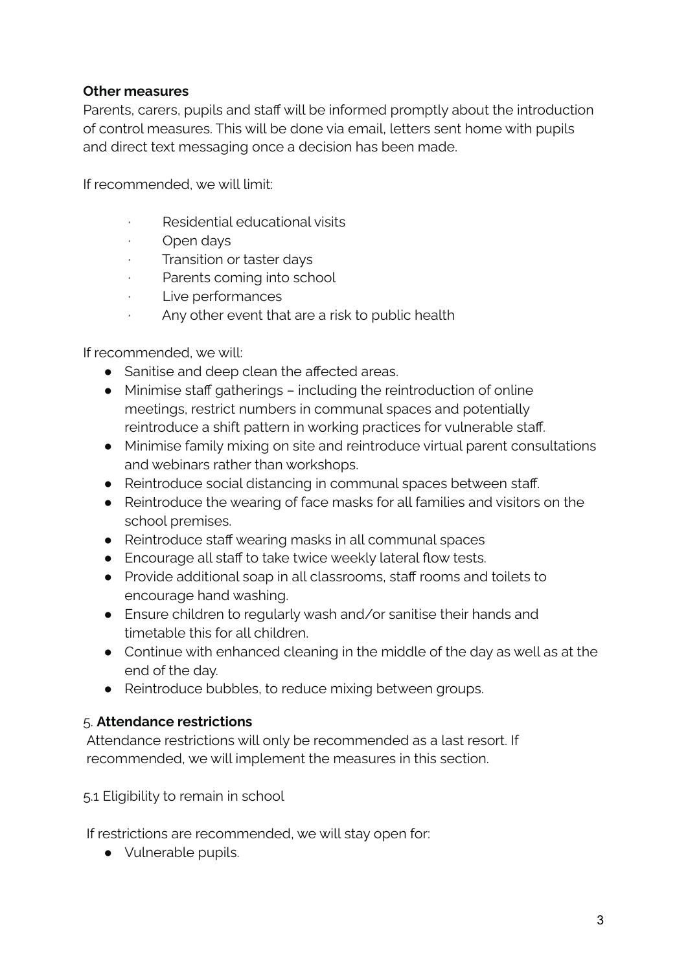#### **Other measures**

Parents, carers, pupils and staff will be informed promptly about the introduction of control measures. This will be done via email, letters sent home with pupils and direct text messaging once a decision has been made.

If recommended, we will limit:

- Residential educational visits
- · Open days
- Transition or taster days
- · Parents coming into school
- · Live performances
- Any other event that are a risk to public health

If recommended, we will:

- Sanitise and deep clean the affected areas.
- Minimise staff gatherings including the reintroduction of online meetings, restrict numbers in communal spaces and potentially reintroduce a shift pattern in working practices for vulnerable staff.
- Minimise family mixing on site and reintroduce virtual parent consultations and webinars rather than workshops.
- Reintroduce social distancing in communal spaces between staff.
- Reintroduce the wearing of face masks for all families and visitors on the school premises.
- Reintroduce staff wearing masks in all communal spaces
- Encourage all staff to take twice weekly lateral flow tests.
- Provide additional soap in all classrooms, staff rooms and toilets to encourage hand washing.
- Ensure children to regularly wash and/or sanitise their hands and timetable this for all children.
- Continue with enhanced cleaning in the middle of the day as well as at the end of the day.
- Reintroduce bubbles, to reduce mixing between groups.

#### 5. **Attendance restrictions**

Attendance restrictions will only be recommended as a last resort. If recommended, we will implement the measures in this section.

5.1 Eligibility to remain in school

If restrictions are recommended, we will stay open for:

● Vulnerable pupils.